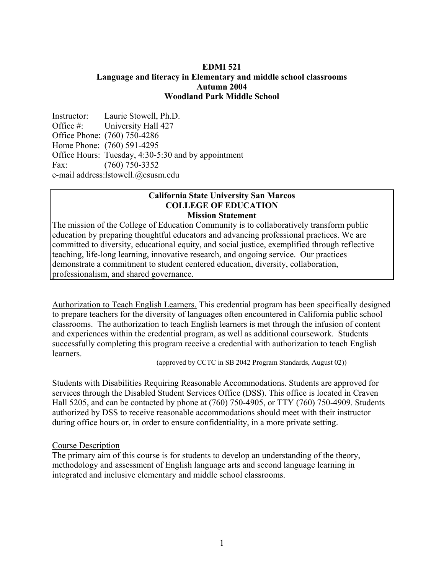### **EDMI 521 Language and literacy in Elementary and middle school classrooms Autumn 2004 Woodland Park Middle School**

Instructor: Laurie Stowell, Ph.D. Office #: University Hall 427 Office Phone: (760) 750-4286 Home Phone: (760) 591-4295 Office Hours: Tuesday, 4:30-5:30 and by appointment Fax: (760) 750-3352 e-mail address:lstowell.@csusm.edu

#### **California State University San Marcos COLLEGE OF EDUCATION Mission Statement**

The mission of the College of Education Community is to collaboratively transform public education by preparing thoughtful educators and advancing professional practices. We are committed to diversity, educational equity, and social justice, exemplified through reflective teaching, life-long learning, innovative research, and ongoing service. Our practices demonstrate a commitment to student centered education, diversity, collaboration, professionalism, and shared governance.

Authorization to Teach English Learners. This credential program has been specifically designed to prepare teachers for the diversity of languages often encountered in California public school classrooms. The authorization to teach English learners is met through the infusion of content and experiences within the credential program, as well as additional coursework. Students successfully completing this program receive a credential with authorization to teach English learners.

(approved by CCTC in SB 2042 Program Standards, August 02))

Students with Disabilities Requiring Reasonable Accommodations. Students are approved for services through the Disabled Student Services Office (DSS). This office is located in Craven Hall 5205, and can be contacted by phone at (760) 750-4905, or TTY (760) 750-4909. Students authorized by DSS to receive reasonable accommodations should meet with their instructor during office hours or, in order to ensure confidentiality, in a more private setting.

### Course Description

The primary aim of this course is for students to develop an understanding of the theory, methodology and assessment of English language arts and second language learning in integrated and inclusive elementary and middle school classrooms.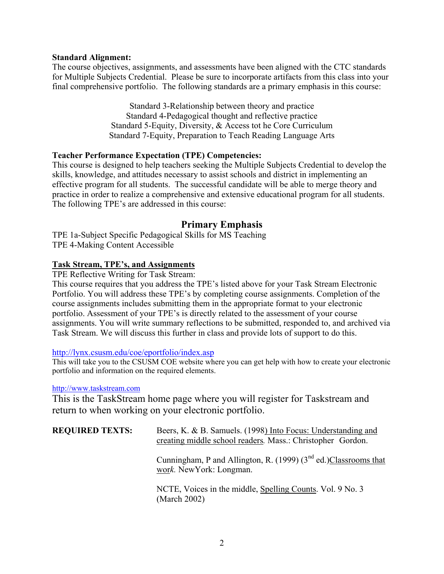### **Standard Alignment:**

The course objectives, assignments, and assessments have been aligned with the CTC standards for Multiple Subjects Credential. Please be sure to incorporate artifacts from this class into your final comprehensive portfolio. The following standards are a primary emphasis in this course:

> Standard 3-Relationship between theory and practice Standard 4-Pedagogical thought and reflective practice Standard 5-Equity, Diversity, & Access tot he Core Curriculum Standard 7-Equity, Preparation to Teach Reading Language Arts

### **Teacher Performance Expectation (TPE) Competencies:**

This course is designed to help teachers seeking the Multiple Subjects Credential to develop the skills, knowledge, and attitudes necessary to assist schools and district in implementing an effective program for all students. The successful candidate will be able to merge theory and practice in order to realize a comprehensive and extensive educational program for all students. The following TPE's are addressed in this course:

# **Primary Emphasis**

TPE 1a-Subject Specific Pedagogical Skills for MS Teaching TPE 4-Making Content Accessible

### **Task Stream, TPE's, and Assignments**

TPE Reflective Writing for Task Stream:

This course requires that you address the TPE's listed above for your Task Stream Electronic Portfolio. You will address these TPE's by completing course assignments. Completion of the course assignments includes submitting them in the appropriate format to your electronic portfolio. Assessment of your TPE's is directly related to the assessment of your course assignments. You will write summary reflections to be submitted, responded to, and archived via Task Stream. We will discuss this further in class and provide lots of support to do this.

### http://lynx.csusm.edu/coe/eportfolio/index.asp

This will take you to the CSUSM COE website where you can get help with how to create your electronic portfolio and information on the required elements.

#### http://www.taskstream.com

This is the TaskStream home page where you will register for Taskstream and return to when working on your electronic portfolio.

| <b>REQUIRED TEXTS:</b> | Beers, K. & B. Samuels. (1998) Into Focus: Understanding and<br>creating middle school readers. Mass.: Christopher Gordon. |
|------------------------|----------------------------------------------------------------------------------------------------------------------------|
|                        | Cunningham, P and Allington, R. (1999) $(3nd$ ed.)Classrooms that<br>work. New York: Longman.                              |
|                        | NCTE, Voices in the middle, Spelling Counts. Vol. 9 No. 3<br>(March 2002)                                                  |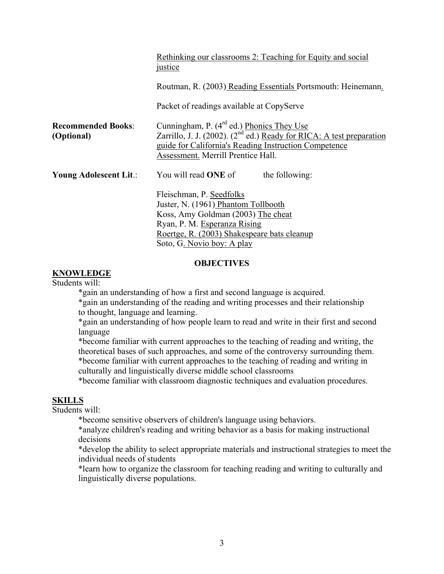|                                         | Rethinking our classrooms 2: Teaching for Equity and social<br><i>justice</i>                                                                                                                                                      |  |  |  |
|-----------------------------------------|------------------------------------------------------------------------------------------------------------------------------------------------------------------------------------------------------------------------------------|--|--|--|
|                                         | Routman, R. (2003) Reading Essentials Portsmouth: Heinemann.                                                                                                                                                                       |  |  |  |
|                                         | Packet of readings available at CopyServe                                                                                                                                                                                          |  |  |  |
| <b>Recommended Books:</b><br>(Optional) | Cunningham, P. (4 <sup>rd</sup> ed.) Phonics They Use<br>Zarrillo, J. J. (2002). ( $2^{nd}$ ed.) Ready for RICA: A test preparation<br>guide for California's Reading Instruction Competence<br>Assessment. Merrill Prentice Hall. |  |  |  |
| Young Adolescent Lit.:                  | You will read <b>ONE</b> of<br>the following:                                                                                                                                                                                      |  |  |  |
|                                         | Fleischman, P. Seedfolks<br>Juster, N. (1961) Phantom Tollbooth<br>Koss, Amy Goldman (2003) The cheat<br>Ryan, P. M. Esperanza Rising<br>Roertge, R. (2003) Shakespeare bats cleanup<br>Soto, G. Novio boy: A play                 |  |  |  |

### **OBJECTIVES**

### **KNOWLEDGE**

Students will:

\*gain an understanding of how a first and second language is acquired.

 \*gain an understanding of the reading and writing processes and their relationship to thought, language and learning.

\*gain an understanding of how people learn to read and write in their first and second language

\*become familiar with current approaches to the teaching of reading and writing, the theoretical bases of such approaches, and some of the controversy surrounding them.

\*become familiar with current approaches to the teaching of reading and writing in culturally and linguistically diverse middle school classrooms

\*become familiar with classroom diagnostic techniques and evaluation procedures.

# **SKILLS**

Students will:

\*become sensitive observers of children's language using behaviors.

\*analyze children's reading and writing behavior as a basis for making instructional decisions

\*develop the ability to select appropriate materials and instructional strategies to meet the individual needs of students

\*learn how to organize the classroom for teaching reading and writing to culturally and linguistically diverse populations.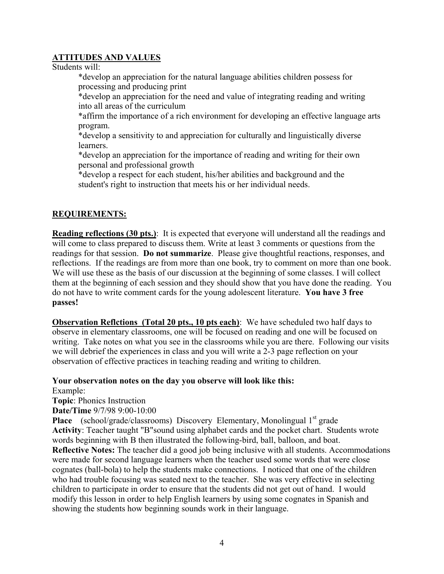# **ATTITUDES AND VALUES**

Students will:

 \*develop an appreciation for the natural language abilities children possess for processing and producing print

 \*develop an appreciation for the need and value of integrating reading and writing into all areas of the curriculum

\*affirm the importance of a rich environment for developing an effective language arts program.

 \*develop a sensitivity to and appreciation for culturally and linguistically diverse **learners** 

 \*develop an appreciation for the importance of reading and writing for their own personal and professional growth

 \*develop a respect for each student, his/her abilities and background and the student's right to instruction that meets his or her individual needs.

# **REQUIREMENTS:**

**Reading reflections (30 pts.)**: It is expected that everyone will understand all the readings and will come to class prepared to discuss them. Write at least 3 comments or questions from the readings for that session. **Do not summarize**. Please give thoughtful reactions, responses, and reflections. If the readings are from more than one book, try to comment on more than one book. We will use these as the basis of our discussion at the beginning of some classes. I will collect them at the beginning of each session and they should show that you have done the reading. You do not have to write comment cards for the young adolescent literature. **You have 3 free passes!**

**Observation Reflctions (Total 20 pts., 10 pts each)**: We have scheduled two half days to observe in elementary classrooms, one will be focused on reading and one will be focused on writing. Take notes on what you see in the classrooms while you are there. Following our visits we will debrief the experiences in class and you will write a 2-3 page reflection on your observation of effective practices in teaching reading and writing to children.

# **Your observation notes on the day you observe will look like this:**

Example:

**Topic**: Phonics Instruction

**Date/Time** 9/7/98 9:00-10:00

Place (school/grade/classrooms) Discovery Elementary, Monolingual 1<sup>st</sup> grade **Activity**: Teacher taught "B"sound using alphabet cards and the pocket chart. Students wrote words beginning with B then illustrated the following-bird, ball, balloon, and boat. **Reflective Notes:** The teacher did a good job being inclusive with all students. Accommodations were made for second language learners when the teacher used some words that were close cognates (ball-bola) to help the students make connections. I noticed that one of the children who had trouble focusing was seated next to the teacher. She was very effective in selecting children to participate in order to ensure that the students did not get out of hand. I would modify this lesson in order to help English learners by using some cognates in Spanish and showing the students how beginning sounds work in their language.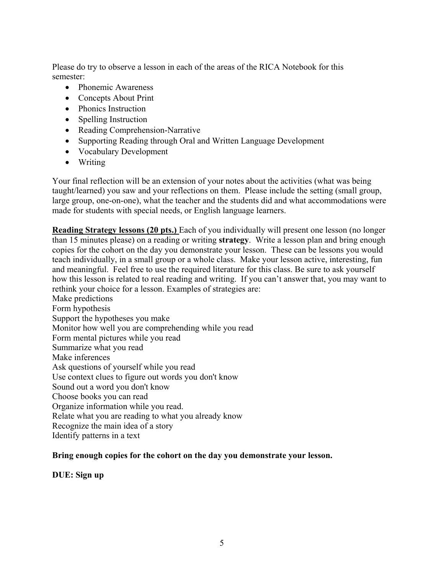Please do try to observe a lesson in each of the areas of the RICA Notebook for this semester:

- Phonemic Awareness
- Concepts About Print
- Phonics Instruction
- Spelling Instruction
- Reading Comprehension-Narrative
- Supporting Reading through Oral and Written Language Development
- Vocabulary Development
- Writing

Your final reflection will be an extension of your notes about the activities (what was being taught/learned) you saw and your reflections on them. Please include the setting (small group, large group, one-on-one), what the teacher and the students did and what accommodations were made for students with special needs, or English language learners.

**Reading Strategy lessons (20 pts.)** Each of you individually will present one lesson (no longer than 15 minutes please) on a reading or writing **strategy**. Write a lesson plan and bring enough copies for the cohort on the day you demonstrate your lesson. These can be lessons you would teach individually, in a small group or a whole class. Make your lesson active, interesting, fun and meaningful. Feel free to use the required literature for this class. Be sure to ask yourself how this lesson is related to real reading and writing. If you can't answer that, you may want to rethink your choice for a lesson. Examples of strategies are: Make predictions Form hypothesis Support the hypotheses you make Monitor how well you are comprehending while you read Form mental pictures while you read Summarize what you read Make inferences Ask questions of yourself while you read

Use context clues to figure out words you don't know

Sound out a word you don't know

Choose books you can read

Organize information while you read.

Relate what you are reading to what you already know

Recognize the main idea of a story

Identify patterns in a text

# **Bring enough copies for the cohort on the day you demonstrate your lesson.**

**DUE: Sign up**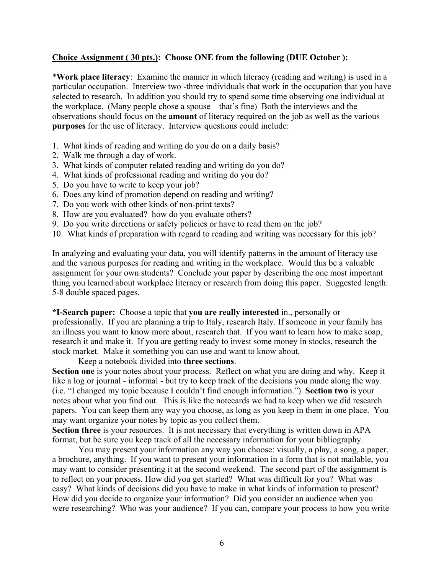### **Choice Assignment ( 30 pts.): Choose ONE from the following (DUE October ):**

\***Work place literacy**: Examine the manner in which literacy (reading and writing) is used in a particular occupation. Interview two -three individuals that work in the occupation that you have selected to research. In addition you should try to spend some time observing one individual at the workplace. (Many people chose a spouse – that's fine) Both the interviews and the observations should focus on the **amount** of literacy required on the job as well as the various **purposes** for the use of literacy. Interview questions could include:

- 1. What kinds of reading and writing do you do on a daily basis?
- 2. Walk me through a day of work.
- 3. What kinds of computer related reading and writing do you do?
- 4. What kinds of professional reading and writing do you do?
- 5. Do you have to write to keep your job?
- 6. Does any kind of promotion depend on reading and writing?
- 7. Do you work with other kinds of non-print texts?
- 8. How are you evaluated? how do you evaluate others?
- 9. Do you write directions or safety policies or have to read them on the job?
- 10. What kinds of preparation with regard to reading and writing was necessary for this job?

In analyzing and evaluating your data, you will identify patterns in the amount of literacy use and the various purposes for reading and writing in the workplace. Would this be a valuable assignment for your own students? Conclude your paper by describing the one most important thing you learned about workplace literacy or research from doing this paper. Suggested length: 5-8 double spaced pages.

**\*I-Search paper:** Choose a topic that **you are really interested** in., personally or professionally. If you are planning a trip to Italy, research Italy. If someone in your family has an illness you want to know more about, research that. If you want to learn how to make soap, research it and make it. If you are getting ready to invest some money in stocks, research the stock market. Make it something you can use and want to know about.

### Keep a notebook divided into **three sections**.

**Section one** is your notes about your process. Reflect on what you are doing and why. Keep it like a log or journal - informal - but try to keep track of the decisions you made along the way. (i.e. "I changed my topic because I couldn't find enough information.") **Section two** is your notes about what you find out. This is like the notecards we had to keep when we did research papers. You can keep them any way you choose, as long as you keep in them in one place. You may want organize your notes by topic as you collect them.

**Section three** is your resources. It is not necessary that everything is written down in APA format, but be sure you keep track of all the necessary information for your bibliography.

 You may present your information any way you choose: visually, a play, a song, a paper, a brochure, anything. If you want to present your information in a form that is not mailable, you may want to consider presenting it at the second weekend. The second part of the assignment is to reflect on your process. How did you get started? What was difficult for you? What was easy? What kinds of decisions did you have to make in what kinds of information to present? How did you decide to organize your information? Did you consider an audience when you were researching? Who was your audience? If you can, compare your process to how you write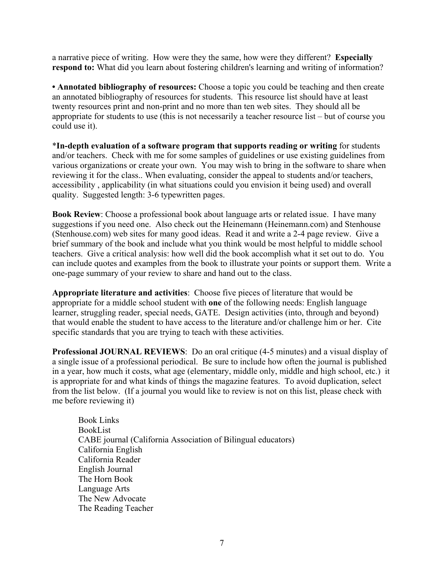a narrative piece of writing. How were they the same, how were they different? **Especially respond to:** What did you learn about fostering children's learning and writing of information?

• **Annotated bibliography of resources:** Choose a topic you could be teaching and then create an annotated bibliography of resources for students. This resource list should have at least twenty resources print and non-print and no more than ten web sites. They should all be appropriate for students to use (this is not necessarily a teacher resource list – but of course you could use it).

\***In-depth evaluation of a software program that supports reading or writing** for students and/or teachers. Check with me for some samples of guidelines or use existing guidelines from various organizations or create your own. You may wish to bring in the software to share when reviewing it for the class.. When evaluating, consider the appeal to students and/or teachers, accessibility , applicability (in what situations could you envision it being used) and overall quality. Suggested length: 3-6 typewritten pages.

**Book Review**: Choose a professional book about language arts or related issue. I have many suggestions if you need one. Also check out the Heinemann (Heinemann.com) and Stenhouse (Stenhouse.com) web sites for many good ideas. Read it and write a 2-4 page review. Give a brief summary of the book and include what you think would be most helpful to middle school teachers. Give a critical analysis: how well did the book accomplish what it set out to do. You can include quotes and examples from the book to illustrate your points or support them. Write a one-page summary of your review to share and hand out to the class.

**Appropriate literature and activities**: Choose five pieces of literature that would be appropriate for a middle school student with **one** of the following needs: English language learner, struggling reader, special needs, GATE. Design activities (into, through and beyond) that would enable the student to have access to the literature and/or challenge him or her. Cite specific standards that you are trying to teach with these activities.

**Professional JOURNAL REVIEWS**: Do an oral critique (4-5 minutes) and a visual display of a single issue of a professional periodical. Be sure to include how often the journal is published in a year, how much it costs, what age (elementary, middle only, middle and high school, etc.) it is appropriate for and what kinds of things the magazine features. To avoid duplication, select from the list below. (If a journal you would like to review is not on this list, please check with me before reviewing it)

 Book Links BookList CABE journal (California Association of Bilingual educators) California English California Reader English Journal The Horn Book Language Arts The New Advocate The Reading Teacher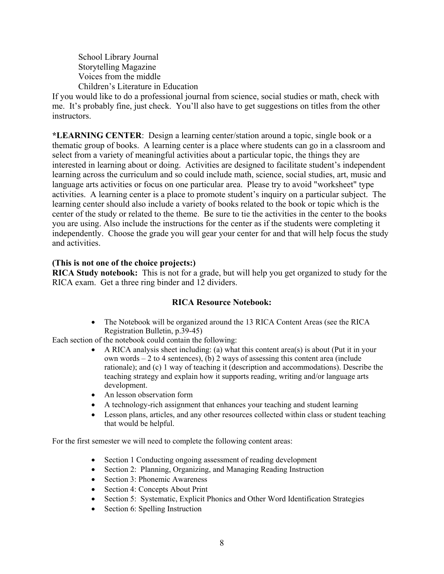School Library Journal Storytelling Magazine Voices from the middle Children's Literature in Education

If you would like to do a professional journal from science, social studies or math, check with me. It's probably fine, just check. You'll also have to get suggestions on titles from the other instructors.

**\*LEARNING CENTER**: Design a learning center/station around a topic, single book or a thematic group of books. A learning center is a place where students can go in a classroom and select from a variety of meaningful activities about a particular topic, the things they are interested in learning about or doing. Activities are designed to facilitate student's independent learning across the curriculum and so could include math, science, social studies, art, music and language arts activities or focus on one particular area. Please try to avoid "worksheet" type activities. A learning center is a place to promote student's inquiry on a particular subject. The learning center should also include a variety of books related to the book or topic which is the center of the study or related to the theme. Be sure to tie the activities in the center to the books you are using. Also include the instructions for the center as if the students were completing it independently. Choose the grade you will gear your center for and that will help focus the study and activities.

# **(This is not one of the choice projects:)**

**RICA Study notebook:** This is not for a grade, but will help you get organized to study for the RICA exam. Get a three ring binder and 12 dividers.

### **RICA Resource Notebook:**

• The Notebook will be organized around the 13 RICA Content Areas (see the RICA Registration Bulletin, p.39-45)

Each section of the notebook could contain the following:

- A RICA analysis sheet including: (a) what this content area(s) is about (Put it in your own words  $-2$  to 4 sentences), (b) 2 ways of assessing this content area (include rationale); and (c) 1 way of teaching it (description and accommodations). Describe the teaching strategy and explain how it supports reading, writing and/or language arts development.
- An lesson observation form
- A technology-rich assignment that enhances your teaching and student learning
- Lesson plans, articles, and any other resources collected within class or student teaching that would be helpful.

For the first semester we will need to complete the following content areas:

- Section 1 Conducting ongoing assessment of reading development
- Section 2: Planning, Organizing, and Managing Reading Instruction
- Section 3: Phonemic Awareness
- Section 4: Concepts About Print
- Section 5: Systematic, Explicit Phonics and Other Word Identification Strategies
- Section 6: Spelling Instruction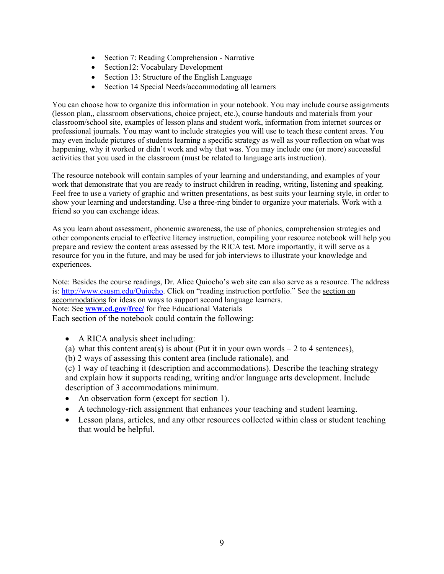- Section 7: Reading Comprehension Narrative
- Section12: Vocabulary Development
- Section 13: Structure of the English Language
- Section 14 Special Needs/accommodating all learners

You can choose how to organize this information in your notebook. You may include course assignments (lesson plan,, classroom observations, choice project, etc.), course handouts and materials from your classroom/school site, examples of lesson plans and student work, information from internet sources or professional journals. You may want to include strategies you will use to teach these content areas. You may even include pictures of students learning a specific strategy as well as your reflection on what was happening, why it worked or didn't work and why that was. You may include one (or more) successful activities that you used in the classroom (must be related to language arts instruction).

The resource notebook will contain samples of your learning and understanding, and examples of your work that demonstrate that you are ready to instruct children in reading, writing, listening and speaking. Feel free to use a variety of graphic and written presentations, as best suits your learning style, in order to show your learning and understanding. Use a three-ring binder to organize your materials. Work with a friend so you can exchange ideas.

As you learn about assessment, phonemic awareness, the use of phonics, comprehension strategies and other components crucial to effective literacy instruction, compiling your resource notebook will help you prepare and review the content areas assessed by the RICA test. More importantly, it will serve as a resource for you in the future, and may be used for job interviews to illustrate your knowledge and experiences.

Note: Besides the course readings, Dr. Alice Quiocho's web site can also serve as a resource. The address is: http://www.csusm.edu/Quiocho. Click on "reading instruction portfolio." See the section on accommodations for ideas on ways to support second language learners. Note: See **www.ed.gov/free/** for free Educational Materials Each section of the notebook could contain the following:

• A RICA analysis sheet including:

(a) what this content area(s) is about (Put it in your own words  $-2$  to 4 sentences),

(b) 2 ways of assessing this content area (include rationale), and

(c) 1 way of teaching it (description and accommodations). Describe the teaching strategy and explain how it supports reading, writing and/or language arts development. Include description of 3 accommodations minimum.

- An observation form (except for section 1).
- A technology-rich assignment that enhances your teaching and student learning.
- Lesson plans, articles, and any other resources collected within class or student teaching that would be helpful.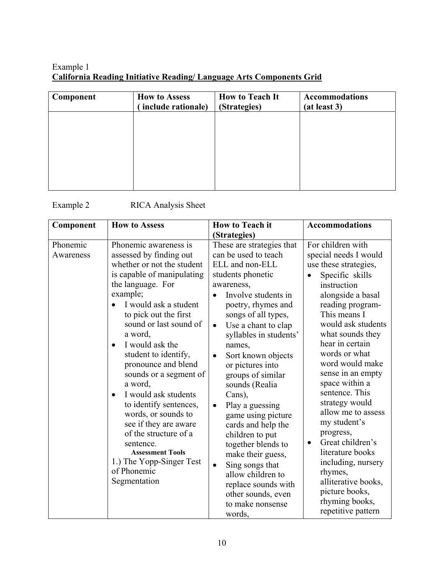# Example 1 **California Reading Initiative Reading/ Language Arts Components Grid**

| Component | <b>How to Assess</b><br>include rationale) | <b>How to Teach It</b><br>(Strategies) | <b>Accommodations</b><br>(at least 3) |
|-----------|--------------------------------------------|----------------------------------------|---------------------------------------|
|           |                                            |                                        |                                       |
|           |                                            |                                        |                                       |
|           |                                            |                                        |                                       |
|           |                                            |                                        |                                       |

# Example 2 RICA Analysis Sheet

| <b>How to Assess</b><br>Component                                                                                                                                                                                                                                                                                                                                                                                                                                                                                                                                                                                                                                                             | <b>How to Teach it</b>                                                                                                                                                                                                                                                                                                                                                                                                                                                                                                                                                                            | Accommodations                                                                                                                                                                                                                                                                                                                                                                                                                                                                                                                                                       |
|-----------------------------------------------------------------------------------------------------------------------------------------------------------------------------------------------------------------------------------------------------------------------------------------------------------------------------------------------------------------------------------------------------------------------------------------------------------------------------------------------------------------------------------------------------------------------------------------------------------------------------------------------------------------------------------------------|---------------------------------------------------------------------------------------------------------------------------------------------------------------------------------------------------------------------------------------------------------------------------------------------------------------------------------------------------------------------------------------------------------------------------------------------------------------------------------------------------------------------------------------------------------------------------------------------------|----------------------------------------------------------------------------------------------------------------------------------------------------------------------------------------------------------------------------------------------------------------------------------------------------------------------------------------------------------------------------------------------------------------------------------------------------------------------------------------------------------------------------------------------------------------------|
| Phonemic awareness is<br>Phonemic<br>assessed by finding out<br>Awareness<br>whether or not the student<br>is capable of manipulating<br>the language. For<br>example;<br>I would ask a student<br>$\bullet$<br>to pick out the first<br>sound or last sound of<br>$\bullet$<br>a word,<br>I would ask the<br>$\bullet$<br>student to identify,<br>$\bullet$<br>pronounce and blend<br>sounds or a segment of<br>a word,<br>I would ask students<br>$\bullet$<br>to identify sentences,<br>$\bullet$<br>words, or sounds to<br>see if they are aware<br>of the structure of a<br>sentence.<br><b>Assessment Tools</b><br>1.) The Yopp-Singer Test<br>$\bullet$<br>of Phonemic<br>Segmentation | (Strategies)<br>These are strategies that<br>can be used to teach<br>ELL and non-ELL<br>students phonetic<br>awareness,<br>Involve students in<br>poetry, rhymes and<br>songs of all types,<br>Use a chant to clap<br>syllables in students'<br>names,<br>Sort known objects<br>or pictures into<br>groups of similar<br>sounds (Realia<br>Cans),<br>Play a guessing<br>game using picture<br>cards and help the<br>children to put<br>together blends to<br>make their guess,<br>Sing songs that<br>allow children to<br>replace sounds with<br>other sounds, even<br>to make nonsense<br>words, | For children with<br>special needs I would<br>use these strategies,<br>Specific skills<br>instruction<br>alongside a basal<br>reading program-<br>This means I<br>would ask students<br>what sounds they<br>hear in certain<br>words or what<br>word would make<br>sense in an empty<br>space within a<br>sentence. This<br>strategy would<br>allow me to assess<br>my student's<br>progress,<br>Great children's<br>$\bullet$<br>literature books<br>including, nursery<br>rhymes,<br>alliterative books,<br>picture books,<br>rhyming books,<br>repetitive pattern |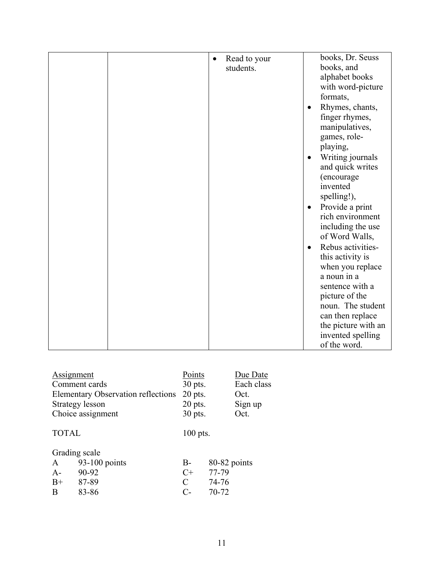|  | Read to your<br>$\bullet$ | books, Dr. Seuss               |
|--|---------------------------|--------------------------------|
|  | students.                 | books, and                     |
|  |                           | alphabet books                 |
|  |                           | with word-picture              |
|  |                           | formats,                       |
|  |                           | Rhymes, chants,<br>$\bullet$   |
|  |                           | finger rhymes,                 |
|  |                           | manipulatives,                 |
|  |                           | games, role-                   |
|  |                           | playing,                       |
|  |                           | Writing journals<br>$\bullet$  |
|  |                           | and quick writes               |
|  |                           | (encourage                     |
|  |                           | invented                       |
|  |                           | spelling!),                    |
|  |                           | Provide a print<br>$\bullet$   |
|  |                           | rich environment               |
|  |                           |                                |
|  |                           | including the use              |
|  |                           | of Word Walls,                 |
|  |                           | Rebus activities-<br>$\bullet$ |
|  |                           | this activity is               |
|  |                           | when you replace               |
|  |                           | a noun in a                    |
|  |                           | sentence with a                |
|  |                           | picture of the                 |
|  |                           | noun. The student              |
|  |                           | can then replace               |
|  |                           | the picture with an            |
|  |                           | invented spelling              |
|  |                           | of the word.                   |

| Assignment                         |               | Points     |              | Due Date   |
|------------------------------------|---------------|------------|--------------|------------|
| Comment cards                      |               | $30$ pts.  |              | Each class |
| Elementary Observation reflections |               | $20$ pts.  |              | Oct.       |
| <b>Strategy lesson</b>             |               | $20$ pts.  |              | Sign up    |
| Choice assignment                  |               | $30$ pts.  |              | Oct.       |
| <b>TOTAL</b>                       |               | $100$ pts. |              |            |
|                                    | Grading scale |            |              |            |
| $\mathbf{A}$                       | 93-100 points | B-         | 80-82 points |            |
| $A-$                               | 90-92         | $C+$       | 77-79        |            |
| $B+$                               | 87-89         | C          | 74-76        |            |
| B                                  | 83-86         | $C-$       | 70-72        |            |